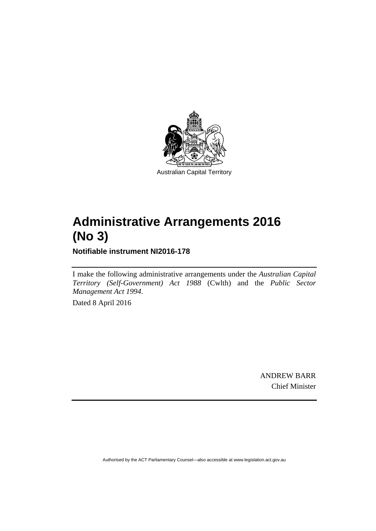

# **Administrative Arrangements 2016 (No 3)**

**Notifiable instrument NI2016-178** 

I make the following administrative arrangements under the *Australian Capital Territory (Self-Government) Act 1988* (Cwlth) and the *Public Sector Management Act 1994*.

Dated 8 April 2016

ANDREW BARR Chief Minister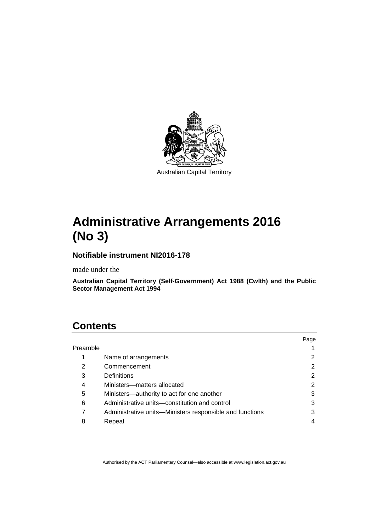

# **Administrative Arrangements 2016 (No 3)**

### **Notifiable instrument NI2016-178**

made under the

**Australian Capital Territory (Self-Government) Act 1988 (Cwlth) and the Public Sector Management Act 1994** 

## **Contents**

|          |                                                          | Page |
|----------|----------------------------------------------------------|------|
| Preamble |                                                          |      |
| 1        | Name of arrangements                                     |      |
| 2        | Commencement                                             | 2    |
| 3        | Definitions                                              | 2    |
| 4        | Ministers-matters allocated                              | 2    |
| 5        | Ministers—authority to act for one another               | 3    |
| 6        | Administrative units-constitution and control            | 3    |
|          | Administrative units—Ministers responsible and functions | 3    |
| 8        | Repeal                                                   |      |
|          |                                                          |      |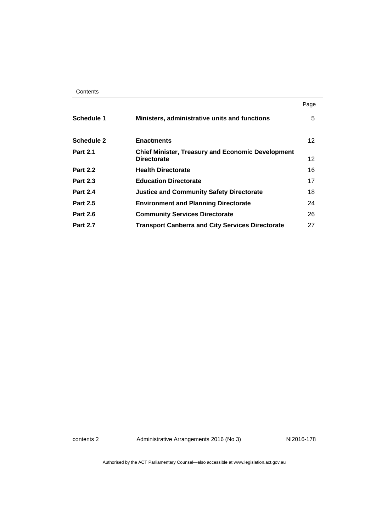|                   |                                                                                | Page |
|-------------------|--------------------------------------------------------------------------------|------|
| Schedule 1        | Ministers, administrative units and functions                                  | 5    |
| <b>Schedule 2</b> | <b>Enactments</b>                                                              | 12   |
| <b>Part 2.1</b>   | <b>Chief Minister, Treasury and Economic Development</b><br><b>Directorate</b> | 12   |
| <b>Part 2.2</b>   | <b>Health Directorate</b>                                                      | 16   |
| <b>Part 2.3</b>   | <b>Education Directorate</b>                                                   | 17   |
| <b>Part 2.4</b>   | <b>Justice and Community Safety Directorate</b>                                | 18   |
| <b>Part 2.5</b>   | <b>Environment and Planning Directorate</b>                                    | 24   |
| <b>Part 2.6</b>   | <b>Community Services Directorate</b>                                          | 26   |
| <b>Part 2.7</b>   | <b>Transport Canberra and City Services Directorate</b>                        | 27   |

contents 2 Administrative Arrangements 2016 (No 3) NI2016-178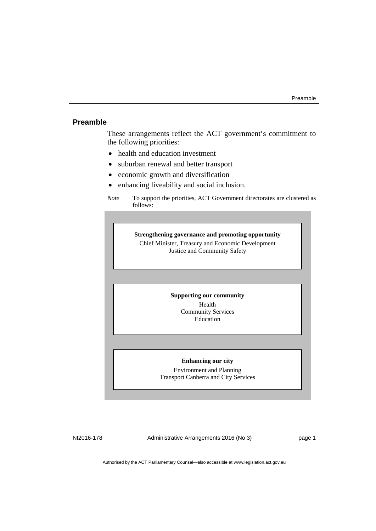#### <span id="page-4-0"></span>**Preamble**

These arrangements reflect the ACT government's commitment to the following priorities:

- health and education investment
- suburban renewal and better transport
- economic growth and diversification
- enhancing liveability and social inclusion.

**Strengthening governance and promoting opportunity**  Chief Minister, Treasury and Economic Development Justice and Community Safety

#### **Supporting our community**

Health Community Services Education

#### **Enhancing our city**

Environment and Planning Transport Canberra and City Services

NI2016-178 Administrative Arrangements 2016 (No 3) page 1

*Note* To support the priorities, ACT Government directorates are clustered as follows: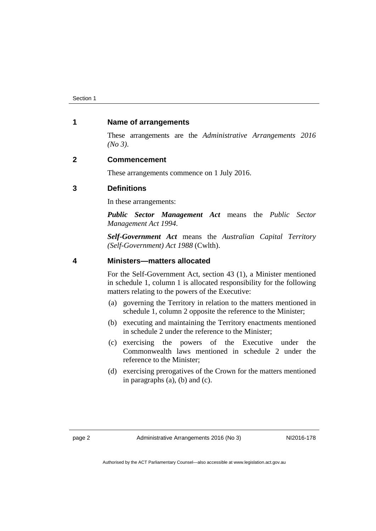#### <span id="page-5-0"></span>**1 Name of arrangements**

These arrangements are the *Administrative Arrangements 2016 (No 3)*.

#### <span id="page-5-1"></span>**2 Commencement**

These arrangements commence on 1 July 2016.

#### <span id="page-5-2"></span>**3 Definitions**

In these arrangements:

*Public Sector Management Act* means the *Public Sector Management Act 1994*.

*Self-Government Act* means the *Australian Capital Territory (Self-Government) Act 1988* (Cwlth).

#### <span id="page-5-3"></span>**4 Ministers—matters allocated**

For the Self-Government Act, section 43 (1), a Minister mentioned in schedule 1, column 1 is allocated responsibility for the following matters relating to the powers of the Executive:

- (a) governing the Territory in relation to the matters mentioned in schedule 1, column 2 opposite the reference to the Minister;
- (b) executing and maintaining the Territory enactments mentioned in schedule 2 under the reference to the Minister;
- (c) exercising the powers of the Executive under the Commonwealth laws mentioned in schedule 2 under the reference to the Minister;
- (d) exercising prerogatives of the Crown for the matters mentioned in paragraphs (a), (b) and (c).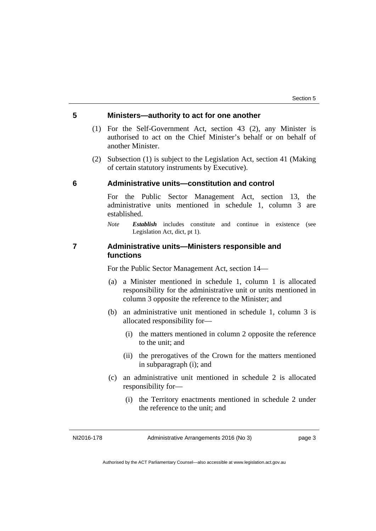#### <span id="page-6-0"></span>**5 Ministers—authority to act for one another**

- (1) For the Self-Government Act, section 43 (2), any Minister is authorised to act on the Chief Minister's behalf or on behalf of another Minister.
- (2) Subsection (1) is subject to the Legislation Act, section 41 (Making of certain statutory instruments by Executive).

#### <span id="page-6-1"></span>**6 Administrative units—constitution and control**

For the Public Sector Management Act, section 13, the administrative units mentioned in schedule 1, column 3 are established.

*Note Establish* includes constitute and continue in existence (see Legislation Act, dict, pt 1).

#### <span id="page-6-2"></span>**7 Administrative units—Ministers responsible and functions**

For the Public Sector Management Act, section 14—

- (a) a Minister mentioned in schedule 1, column 1 is allocated responsibility for the administrative unit or units mentioned in column 3 opposite the reference to the Minister; and
- (b) an administrative unit mentioned in schedule 1, column 3 is allocated responsibility for—
	- (i) the matters mentioned in column 2 opposite the reference to the unit; and
	- (ii) the prerogatives of the Crown for the matters mentioned in subparagraph (i); and
- (c) an administrative unit mentioned in schedule 2 is allocated responsibility for—
	- (i) the Territory enactments mentioned in schedule 2 under the reference to the unit; and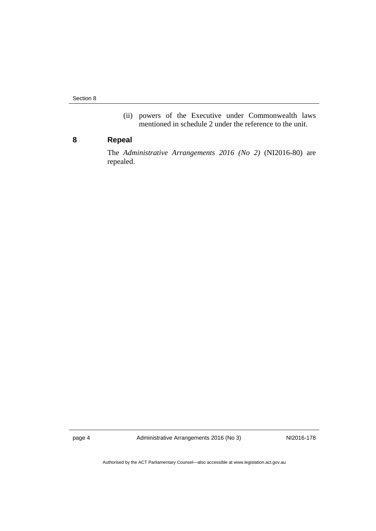Section 8

(ii) powers of the Executive under Commonwealth laws mentioned in schedule 2 under the reference to the unit.

### <span id="page-7-0"></span>**8 Repeal**

The *Administrative Arrangements 2016 (No 2)* (NI2016-80) are repealed.

page 4 Administrative Arrangements 2016 (No 3) NI2016-178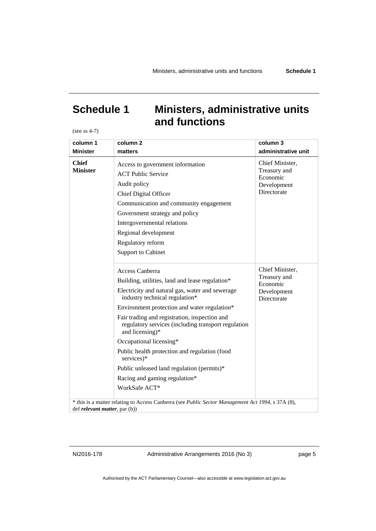## <span id="page-8-0"></span>**Schedule 1 Ministers, administrative units and functions**

(see ss 4-7)

| column 1<br><b>Minister</b>           | column <sub>2</sub><br>matters                                                                                                                                                                                                                                                                                                                                                                                                                                                                                               | column 3<br>administrative unit                                           |
|---------------------------------------|------------------------------------------------------------------------------------------------------------------------------------------------------------------------------------------------------------------------------------------------------------------------------------------------------------------------------------------------------------------------------------------------------------------------------------------------------------------------------------------------------------------------------|---------------------------------------------------------------------------|
| <b>Chief</b><br><b>Minister</b>       | Access to government information<br><b>ACT Public Service</b><br>Audit policy<br>Chief Digital Officer<br>Communication and community engagement<br>Government strategy and policy<br>Intergovernmental relations<br>Regional development<br>Regulatory reform<br><b>Support to Cabinet</b>                                                                                                                                                                                                                                  | Chief Minister,<br>Treasury and<br>Economic<br>Development<br>Directorate |
|                                       | Access Canberra<br>Building, utilities, land and lease regulation*<br>Electricity and natural gas, water and sewerage<br>industry technical regulation*<br>Environment protection and water regulation*<br>Fair trading and registration, inspection and<br>regulatory services (including transport regulation<br>and licensing)*<br>Occupational licensing*<br>Public health protection and regulation (food<br>services)*<br>Public unleased land regulation (permits)*<br>Racing and gaming regulation*<br>WorkSafe ACT* | Chief Minister,<br>Treasury and<br>Economic<br>Development<br>Directorate |
| def <i>relevant matter</i> , par (b)) | * this is a matter relating to Access Canberra (see Public Sector Management Act 1994, s 37A (8),                                                                                                                                                                                                                                                                                                                                                                                                                            |                                                                           |

NI2016-178 Administrative Arrangements 2016 (No 3) page 5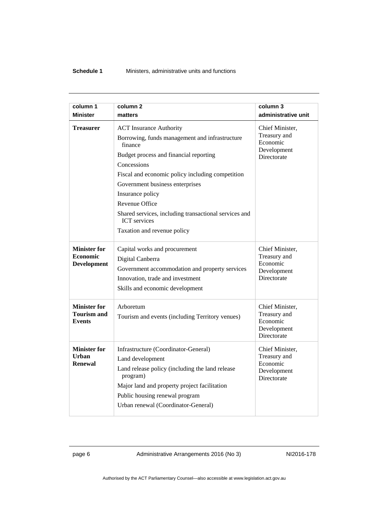| column 1<br><b>Minister</b>                                  | column <sub>2</sub><br>matters                                                                                                                                                                                                                                                                                                                                                                   | column 3<br>administrative unit                                           |
|--------------------------------------------------------------|--------------------------------------------------------------------------------------------------------------------------------------------------------------------------------------------------------------------------------------------------------------------------------------------------------------------------------------------------------------------------------------------------|---------------------------------------------------------------------------|
| <b>Treasurer</b>                                             | <b>ACT</b> Insurance Authority<br>Borrowing, funds management and infrastructure<br>finance<br>Budget process and financial reporting<br>Concessions<br>Fiscal and economic policy including competition<br>Government business enterprises<br>Insurance policy<br>Revenue Office<br>Shared services, including transactional services and<br><b>ICT</b> services<br>Taxation and revenue policy | Chief Minister,<br>Treasury and<br>Economic<br>Development<br>Directorate |
| <b>Minister for</b><br><b>Economic</b><br><b>Development</b> | Capital works and procurement<br>Digital Canberra<br>Government accommodation and property services<br>Innovation, trade and investment<br>Skills and economic development                                                                                                                                                                                                                       | Chief Minister,<br>Treasury and<br>Economic<br>Development<br>Directorate |
| <b>Minister for</b><br><b>Tourism and</b><br><b>Events</b>   | Arboretum<br>Tourism and events (including Territory venues)                                                                                                                                                                                                                                                                                                                                     | Chief Minister,<br>Treasury and<br>Economic<br>Development<br>Directorate |
| <b>Minister for</b><br>Urban<br><b>Renewal</b>               | Infrastructure (Coordinator-General)<br>Land development<br>Land release policy (including the land release<br>program)<br>Major land and property project facilitation<br>Public housing renewal program<br>Urban renewal (Coordinator-General)                                                                                                                                                 | Chief Minister,<br>Treasury and<br>Economic<br>Development<br>Directorate |

page 6 Administrative Arrangements 2016 (No 3) NI2016-178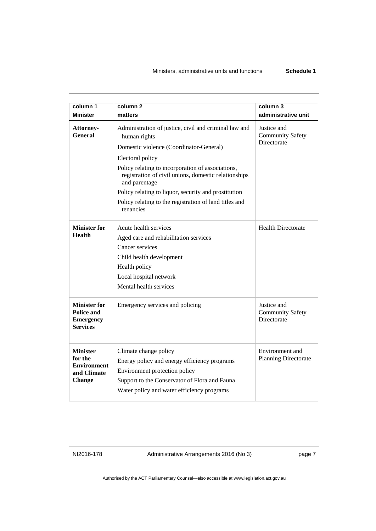| column 1<br><b>Minister</b>                                                      | column <sub>2</sub><br>matters                                                                                                                                                                        | column 3<br>administrative unit                       |
|----------------------------------------------------------------------------------|-------------------------------------------------------------------------------------------------------------------------------------------------------------------------------------------------------|-------------------------------------------------------|
| <b>Attorney-</b><br><b>General</b>                                               | Administration of justice, civil and criminal law and<br>human rights                                                                                                                                 | Justice and<br><b>Community Safety</b>                |
|                                                                                  | Domestic violence (Coordinator-General)                                                                                                                                                               | Directorate                                           |
|                                                                                  | Electoral policy                                                                                                                                                                                      |                                                       |
|                                                                                  | Policy relating to incorporation of associations,<br>registration of civil unions, domestic relationships<br>and parentage                                                                            |                                                       |
|                                                                                  | Policy relating to liquor, security and prostitution                                                                                                                                                  |                                                       |
|                                                                                  | Policy relating to the registration of land titles and<br>tenancies                                                                                                                                   |                                                       |
| <b>Minister for</b>                                                              | Acute health services                                                                                                                                                                                 | <b>Health Directorate</b>                             |
| <b>Health</b>                                                                    | Aged care and rehabilitation services                                                                                                                                                                 |                                                       |
|                                                                                  | Cancer services                                                                                                                                                                                       |                                                       |
|                                                                                  | Child health development                                                                                                                                                                              |                                                       |
|                                                                                  | Health policy                                                                                                                                                                                         |                                                       |
|                                                                                  | Local hospital network                                                                                                                                                                                |                                                       |
|                                                                                  | Mental health services                                                                                                                                                                                |                                                       |
| <b>Minister for</b><br><b>Police and</b><br><b>Emergency</b><br><b>Services</b>  | Emergency services and policing                                                                                                                                                                       | Justice and<br><b>Community Safety</b><br>Directorate |
| <b>Minister</b><br>for the<br><b>Environment</b><br>and Climate<br><b>Change</b> | Climate change policy<br>Energy policy and energy efficiency programs<br>Environment protection policy<br>Support to the Conservator of Flora and Fauna<br>Water policy and water efficiency programs | Environment and<br><b>Planning Directorate</b>        |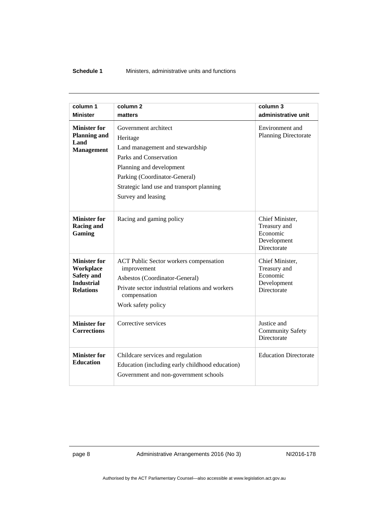#### **Schedule 1** Ministers, administrative units and functions

| column 1                                                                                       | column <sub>2</sub>                                                                                                                                                                                                           | column 3                                                                  |
|------------------------------------------------------------------------------------------------|-------------------------------------------------------------------------------------------------------------------------------------------------------------------------------------------------------------------------------|---------------------------------------------------------------------------|
| <b>Minister</b>                                                                                | matters                                                                                                                                                                                                                       | administrative unit                                                       |
| Minister for<br><b>Planning and</b><br>Land<br><b>Management</b>                               | Government architect<br>Heritage<br>Land management and stewardship<br>Parks and Conservation<br>Planning and development<br>Parking (Coordinator-General)<br>Strategic land use and transport planning<br>Survey and leasing | Environment and<br><b>Planning Directorate</b>                            |
| <b>Minister for</b><br><b>Racing and</b><br>Gaming                                             | Racing and gaming policy                                                                                                                                                                                                      | Chief Minister,<br>Treasury and<br>Economic<br>Development<br>Directorate |
| <b>Minister for</b><br>Workplace<br><b>Safety and</b><br><b>Industrial</b><br><b>Relations</b> | <b>ACT Public Sector workers compensation</b><br>improvement<br>Asbestos (Coordinator-General)<br>Private sector industrial relations and workers<br>compensation<br>Work safety policy                                       | Chief Minister,<br>Treasury and<br>Economic<br>Development<br>Directorate |
| <b>Minister for</b><br><b>Corrections</b>                                                      | Corrective services                                                                                                                                                                                                           | Justice and<br><b>Community Safety</b><br>Directorate                     |
| <b>Minister for</b><br><b>Education</b>                                                        | Childcare services and regulation<br>Education (including early childhood education)<br>Government and non-government schools                                                                                                 | <b>Education Directorate</b>                                              |

page 8 Administrative Arrangements 2016 (No 3) NI2016-178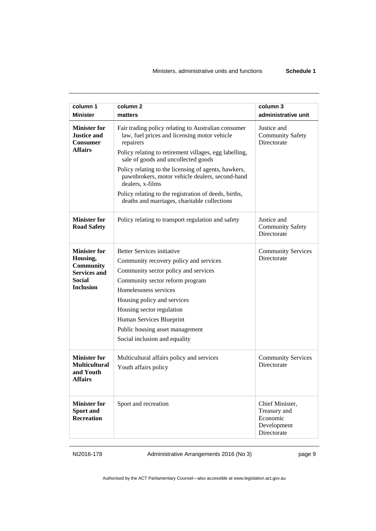| column 1<br><b>Minister</b>                                                    | column <sub>2</sub><br>matters                                                                                                                                             | column 3<br>administrative unit                                           |
|--------------------------------------------------------------------------------|----------------------------------------------------------------------------------------------------------------------------------------------------------------------------|---------------------------------------------------------------------------|
| <b>Minister for</b><br><b>Justice and</b><br><b>Consumer</b><br><b>Affairs</b> | Fair trading policy relating to Australian consumer<br>law, fuel prices and licensing motor vehicle<br>repairers<br>Policy relating to retirement villages, egg labelling, | Justice and<br><b>Community Safety</b><br>Directorate                     |
|                                                                                | sale of goods and uncollected goods                                                                                                                                        |                                                                           |
|                                                                                | Policy relating to the licensing of agents, hawkers,<br>pawnbrokers, motor vehicle dealers, second-hand<br>dealers, x-films                                                |                                                                           |
|                                                                                | Policy relating to the registration of deeds, births,<br>deaths and marriages, charitable collections                                                                      |                                                                           |
| <b>Minister for</b><br><b>Road Safety</b>                                      | Policy relating to transport regulation and safety                                                                                                                         | Justice and<br><b>Community Safety</b><br>Directorate                     |
| <b>Minister for</b>                                                            | <b>Better Services initiative</b>                                                                                                                                          | <b>Community Services</b>                                                 |
| Housing,                                                                       | Community recovery policy and services                                                                                                                                     | Directorate                                                               |
| <b>Community</b><br><b>Services and</b>                                        | Community sector policy and services                                                                                                                                       |                                                                           |
| <b>Social</b>                                                                  | Community sector reform program                                                                                                                                            |                                                                           |
| <b>Inclusion</b>                                                               | Homelessness services                                                                                                                                                      |                                                                           |
|                                                                                | Housing policy and services                                                                                                                                                |                                                                           |
|                                                                                | Housing sector regulation                                                                                                                                                  |                                                                           |
|                                                                                | Human Services Blueprint                                                                                                                                                   |                                                                           |
|                                                                                | Public housing asset management                                                                                                                                            |                                                                           |
|                                                                                | Social inclusion and equality                                                                                                                                              |                                                                           |
| <b>Minister for</b>                                                            | Multicultural affairs policy and services                                                                                                                                  | <b>Community Services</b>                                                 |
| <b>Multicultural</b><br>and Youth<br>Affairs                                   | Youth affairs policy                                                                                                                                                       | Directorate                                                               |
| <b>Minister for</b><br>Sport and<br><b>Recreation</b>                          | Sport and recreation                                                                                                                                                       | Chief Minister,<br>Treasury and<br>Economic<br>Development<br>Directorate |

NI2016-178 Administrative Arrangements 2016 (No 3) page 9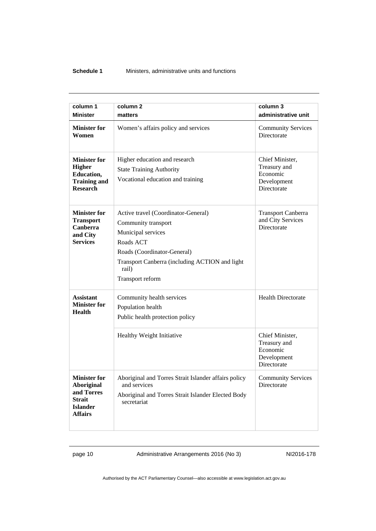#### **Schedule 1** Ministers, administrative units and functions

| column 1                                                                                                     | column <sub>2</sub>                                                                                                                                                                                         | column 3                                                                  |
|--------------------------------------------------------------------------------------------------------------|-------------------------------------------------------------------------------------------------------------------------------------------------------------------------------------------------------------|---------------------------------------------------------------------------|
| <b>Minister</b>                                                                                              | matters                                                                                                                                                                                                     | administrative unit                                                       |
| <b>Minister for</b><br>Women                                                                                 | Women's affairs policy and services                                                                                                                                                                         | <b>Community Services</b><br>Directorate                                  |
| <b>Minister for</b><br><b>Higher</b><br>Education,<br><b>Training and</b><br><b>Research</b>                 | Higher education and research<br><b>State Training Authority</b><br>Vocational education and training                                                                                                       | Chief Minister,<br>Treasury and<br>Economic<br>Development<br>Directorate |
| <b>Minister for</b><br><b>Transport</b><br><b>Canberra</b><br>and City<br><b>Services</b>                    | Active travel (Coordinator-General)<br>Community transport<br>Municipal services<br>Roads ACT<br>Roads (Coordinator-General)<br>Transport Canberra (including ACTION and light<br>rail)<br>Transport reform | <b>Transport Canberra</b><br>and City Services<br>Directorate             |
| <b>Assistant</b><br><b>Minister for</b><br><b>Health</b>                                                     | Community health services<br>Population health<br>Public health protection policy<br>Healthy Weight Initiative                                                                                              | <b>Health Directorate</b><br>Chief Minister,                              |
|                                                                                                              |                                                                                                                                                                                                             | Treasury and<br>Economic<br>Development<br>Directorate                    |
| <b>Minister for</b><br><b>Aboriginal</b><br>and Torres<br><b>Strait</b><br><b>Islander</b><br><b>Affairs</b> | Aboriginal and Torres Strait Islander affairs policy<br>and services<br>Aboriginal and Torres Strait Islander Elected Body<br>secretariat                                                                   | <b>Community Services</b><br>Directorate                                  |

page 10 Administrative Arrangements 2016 (No 3) NI2016-178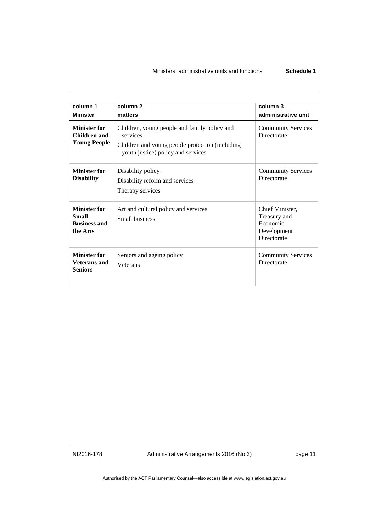#### Ministers, administrative units and functions **Schedule 1**

| column 1<br><b>Minister</b>                                            | column <sub>2</sub><br>matters                                                                                                                    | column 3<br>administrative unit                                                  |
|------------------------------------------------------------------------|---------------------------------------------------------------------------------------------------------------------------------------------------|----------------------------------------------------------------------------------|
| <b>Minister for</b><br>Children and<br><b>Young People</b>             | Children, young people and family policy and<br>services<br>Children and young people protection (including<br>youth justice) policy and services | <b>Community Services</b><br><b>Directorate</b>                                  |
| <b>Minister for</b><br><b>Disability</b>                               | Disability policy<br>Disability reform and services<br>Therapy services                                                                           | <b>Community Services</b><br><b>Directorate</b>                                  |
| <b>Minister for</b><br><b>Small</b><br><b>Business and</b><br>the Arts | Art and cultural policy and services<br>Small business                                                                                            | Chief Minister,<br>Treasury and<br>Economic<br>Development<br><b>Directorate</b> |
| <b>Minister for</b><br><b>Veterans</b> and<br><b>Seniors</b>           | Seniors and ageing policy<br>Veterans                                                                                                             | <b>Community Services</b><br><b>Directorate</b>                                  |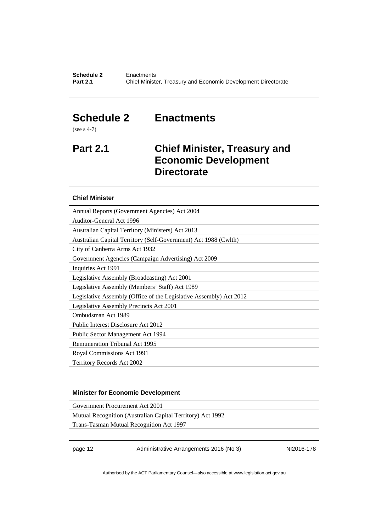### <span id="page-15-0"></span>**Schedule 2 Enactments**

(see s 4-7)

### <span id="page-15-1"></span>**Part 2.1 Chief Minister, Treasury and Economic Development Directorate**

#### **Chief Minister**

Annual Reports (Government Agencies) Act 2004

Auditor-General Act 1996

Australian Capital Territory (Ministers) Act 2013 Australian Capital Territory (Self-Government) Act 1988 (Cwlth)

City of Canberra Arms Act 1932

Government Agencies (Campaign Advertising) Act 2009

Inquiries Act 1991

Legislative Assembly (Broadcasting) Act 2001

Legislative Assembly (Members' Staff) Act 1989

Legislative Assembly (Office of the Legislative Assembly) Act 2012

Legislative Assembly Precincts Act 2001

Ombudsman Act 1989

Public Interest Disclosure Act 2012

Public Sector Management Act 1994

Remuneration Tribunal Act 1995

Royal Commissions Act 1991

Territory Records Act 2002

#### **Minister for Economic Development**

Government Procurement Act 2001

Mutual Recognition (Australian Capital Territory) Act 1992

Trans-Tasman Mutual Recognition Act 1997

page 12 Administrative Arrangements 2016 (No 3) NI2016-178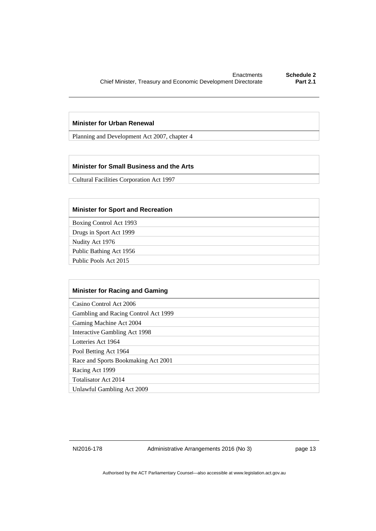#### **Minister for Urban Renewal**

Planning and Development Act 2007, chapter 4

#### **Minister for Small Business and the Arts**

Cultural Facilities Corporation Act 1997

#### **Minister for Sport and Recreation**

Boxing Control Act 1993

Drugs in Sport Act 1999

Nudity Act 1976

Public Bathing Act 1956

Public Pools Act 2015

| <b>Minister for Racing and Gaming</b> |
|---------------------------------------|
| Casino Control Act 2006               |
| Gambling and Racing Control Act 1999  |
| Gaming Machine Act 2004               |
| Interactive Gambling Act 1998         |
| Lotteries Act 1964                    |
| Pool Betting Act 1964                 |
| Race and Sports Bookmaking Act 2001   |
| Racing Act 1999                       |
| Totalisator Act 2014                  |
| Unlawful Gambling Act 2009            |

NI2016-178 Administrative Arrangements 2016 (No 3) page 13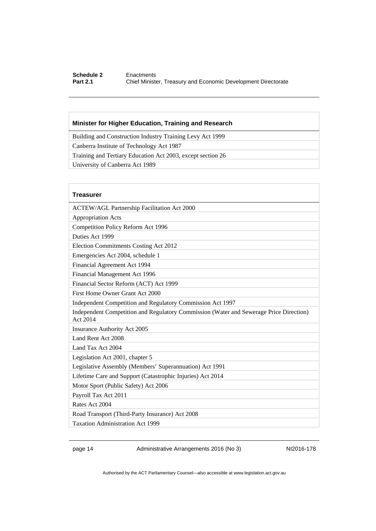#### **Schedule 2 Enactments**<br>**Part 2.1 Chief Ministe Part 2.1** Chief Minister, Treasury and Economic Development Directorate

#### **Minister for Higher Education, Training and Research**

Building and Construction Industry Training Levy Act 1999

Canberra Institute of Technology Act 1987

Training and Tertiary Education Act 2003, except section 26

University of Canberra Act 1989

| <b>Treasurer</b>                                                                                   |
|----------------------------------------------------------------------------------------------------|
| <b>ACTEW/AGL Partnership Facilitation Act 2000</b>                                                 |
| <b>Appropriation Acts</b>                                                                          |
| Competition Policy Reform Act 1996                                                                 |
| Duties Act 1999                                                                                    |
| Election Commitments Costing Act 2012                                                              |
| Emergencies Act 2004, schedule 1                                                                   |
| Financial Agreement Act 1994                                                                       |
| Financial Management Act 1996                                                                      |
| Financial Sector Reform (ACT) Act 1999                                                             |
| First Home Owner Grant Act 2000                                                                    |
| Independent Competition and Regulatory Commission Act 1997                                         |
| Independent Competition and Regulatory Commission (Water and Sewerage Price Direction)<br>Act 2014 |
| Insurance Authority Act 2005                                                                       |
| Land Rent Act 2008                                                                                 |
| Land Tax Act 2004                                                                                  |
| Legislation Act 2001, chapter 5                                                                    |
| Legislative Assembly (Members' Superannuation) Act 1991                                            |
| Lifetime Care and Support (Catastrophic Injuries) Act 2014                                         |
| Motor Sport (Public Safety) Act 2006                                                               |
| Payroll Tax Act 2011                                                                               |
| Rates Act 2004                                                                                     |
| Road Transport (Third-Party Insurance) Act 2008                                                    |
| <b>Taxation Administration Act 1999</b>                                                            |

page 14 Administrative Arrangements 2016 (No 3) NI2016-178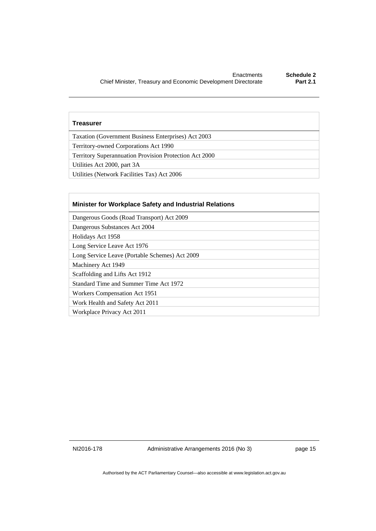#### **Treasurer**

Taxation (Government Business Enterprises) Act 2003

Territory-owned Corporations Act 1990

Territory Superannuation Provision Protection Act 2000

Utilities Act 2000, part 3A

Utilities (Network Facilities Tax) Act 2006

#### **Minister for Workplace Safety and Industrial Relations**

Dangerous Goods (Road Transport) Act 2009

Dangerous Substances Act 2004

Holidays Act 1958

Long Service Leave Act 1976

Long Service Leave (Portable Schemes) Act 2009

Machinery Act 1949

Scaffolding and Lifts Act 1912

Standard Time and Summer Time Act 1972

Workers Compensation Act 1951

Work Health and Safety Act 2011

Workplace Privacy Act 2011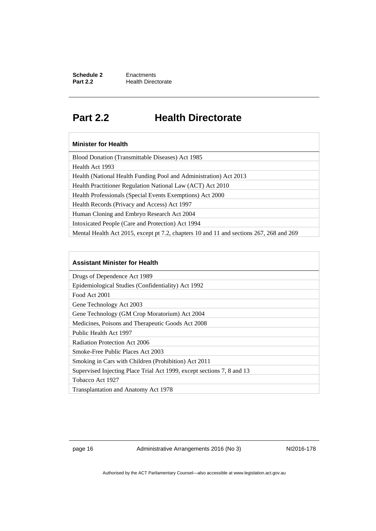**Schedule 2 Enactments**<br>**Part 2.2 Health Direct Health Directorate** 

### <span id="page-19-0"></span>**Part 2.2 Health Directorate**

#### **Minister for Health**

Blood Donation (Transmittable Diseases) Act 1985

Health Act 1993

Health (National Health Funding Pool and Administration) Act 2013

Health Practitioner Regulation National Law (ACT) Act 2010

Health Professionals (Special Events Exemptions) Act 2000

Health Records (Privacy and Access) Act 1997

Human Cloning and Embryo Research Act 2004

Intoxicated People (Care and Protection) Act 1994

Mental Health Act 2015, except pt 7.2, chapters 10 and 11 and sections 267, 268 and 269

#### **Assistant Minister for Health**

Drugs of Dependence Act 1989

Epidemiological Studies (Confidentiality) Act 1992

Food Act 2001

Gene Technology Act 2003

Gene Technology (GM Crop Moratorium) Act 2004 Medicines, Poisons and Therapeutic Goods Act 2008

Public Health Act 1997

Radiation Protection Act 2006

Smoke-Free Public Places Act 2003

Smoking in Cars with Children (Prohibition) Act 2011

Supervised Injecting Place Trial Act 1999, except sections 7, 8 and 13

Tobacco Act 1927

Transplantation and Anatomy Act 1978

page 16 Administrative Arrangements 2016 (No 3) NI2016-178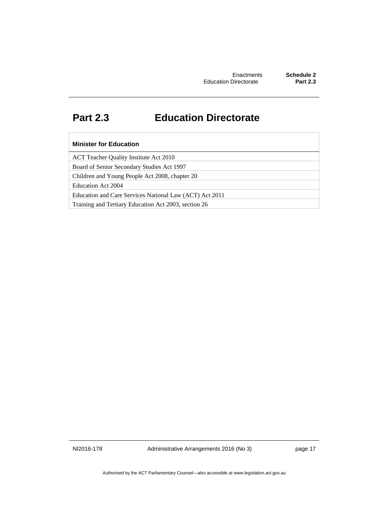### <span id="page-20-0"></span>**Part 2.3 Education Directorate**

#### **Minister for Education**

ACT Teacher Quality Institute Act 2010

Board of Senior Secondary Studies Act 1997

Children and Young People Act 2008, chapter 20

Education Act 2004

Education and Care Services National Law (ACT) Act 2011

Training and Tertiary Education Act 2003, section 26

NI2016-178 Administrative Arrangements 2016 (No 3) page 17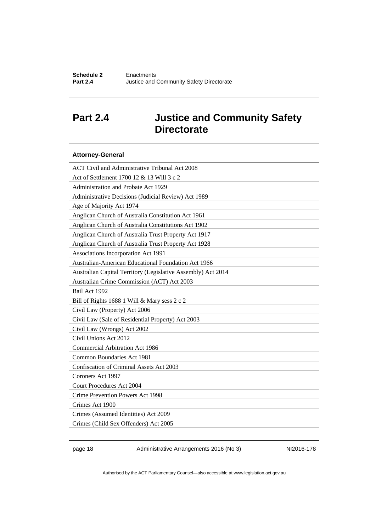### <span id="page-21-0"></span>**Part 2.4 Justice and Community Safety Directorate**

| <b>Attorney-General</b>                                      |
|--------------------------------------------------------------|
| ACT Civil and Administrative Tribunal Act 2008               |
| Act of Settlement 1700 12 & 13 Will 3 c 2                    |
| Administration and Probate Act 1929                          |
| Administrative Decisions (Judicial Review) Act 1989          |
| Age of Majority Act 1974                                     |
| Anglican Church of Australia Constitution Act 1961           |
| Anglican Church of Australia Constitutions Act 1902          |
| Anglican Church of Australia Trust Property Act 1917         |
| Anglican Church of Australia Trust Property Act 1928         |
| Associations Incorporation Act 1991                          |
| Australian-American Educational Foundation Act 1966          |
| Australian Capital Territory (Legislative Assembly) Act 2014 |
| Australian Crime Commission (ACT) Act 2003                   |
| Bail Act 1992                                                |
| Bill of Rights 1688 1 Will & Mary sess 2 c 2                 |
| Civil Law (Property) Act 2006                                |
| Civil Law (Sale of Residential Property) Act 2003            |
| Civil Law (Wrongs) Act 2002                                  |
| Civil Unions Act 2012                                        |
| <b>Commercial Arbitration Act 1986</b>                       |
| <b>Common Boundaries Act 1981</b>                            |
| Confiscation of Criminal Assets Act 2003                     |
| Coroners Act 1997                                            |
| <b>Court Procedures Act 2004</b>                             |
| Crime Prevention Powers Act 1998                             |
| Crimes Act 1900                                              |
| Crimes (Assumed Identities) Act 2009                         |
| Crimes (Child Sex Offenders) Act 2005                        |

page 18 Administrative Arrangements 2016 (No 3) NI2016-178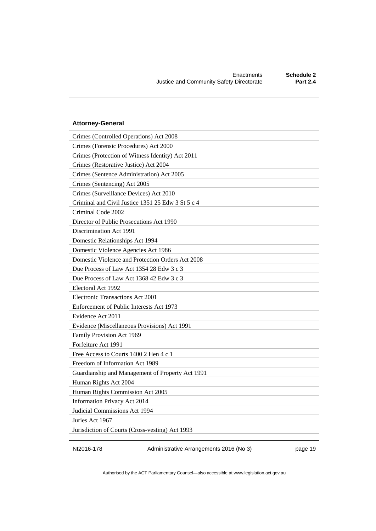| <b>Attorney-General</b>                           |
|---------------------------------------------------|
| Crimes (Controlled Operations) Act 2008           |
| Crimes (Forensic Procedures) Act 2000             |
| Crimes (Protection of Witness Identity) Act 2011  |
| Crimes (Restorative Justice) Act 2004             |
| Crimes (Sentence Administration) Act 2005         |
| Crimes (Sentencing) Act 2005                      |
| Crimes (Surveillance Devices) Act 2010            |
| Criminal and Civil Justice 1351 25 Edw 3 St 5 c 4 |
| Criminal Code 2002                                |
| Director of Public Prosecutions Act 1990          |
| Discrimination Act 1991                           |
| Domestic Relationships Act 1994                   |
| Domestic Violence Agencies Act 1986               |
| Domestic Violence and Protection Orders Act 2008  |
| Due Process of Law Act 1354 28 Edw 3 c 3          |
| Due Process of Law Act 1368 42 Edw 3 c 3          |
| Electoral Act 1992                                |
| Electronic Transactions Act 2001                  |
| Enforcement of Public Interests Act 1973          |
| Evidence Act 2011                                 |
| Evidence (Miscellaneous Provisions) Act 1991      |
| Family Provision Act 1969                         |
| Forfeiture Act 1991                               |
| Free Access to Courts 1400 2 Hen 4 c 1            |
| Freedom of Information Act 1989                   |
| Guardianship and Management of Property Act 1991  |
| Human Rights Act 2004                             |
| Human Rights Commission Act 2005                  |
| Information Privacy Act 2014                      |
| Judicial Commissions Act 1994                     |
| Juries Act 1967                                   |
| Jurisdiction of Courts (Cross-vesting) Act 1993   |

NI2016-178 Administrative Arrangements 2016 (No 3) page 19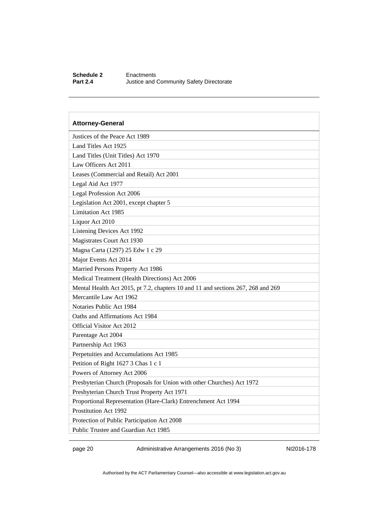#### **Schedule 2** Enactments<br> **Part 2.4** Justice and **Justice and Community Safety Directorate**

### **Attorney-General**  Justices of the Peace Act 1989 Land Titles Act 1925 Land Titles (Unit Titles) Act 1970 Law Officers Act 2011 Leases (Commercial and Retail) Act 2001 Legal Aid Act 1977 Legal Profession Act 2006 Legislation Act 2001, except chapter 5 Limitation Act 1985 Liquor Act 2010 Listening Devices Act 1992 Magistrates Court Act 1930 Magna Carta (1297) 25 Edw 1 c 29 Major Events Act 2014 Married Persons Property Act 1986 Medical Treatment (Health Directions) Act 2006 Mental Health Act 2015, pt 7.2, chapters 10 and 11 and sections 267, 268 and 269 Mercantile Law Act 1962 Notaries Public Act 1984 Oaths and Affirmations Act 1984 Official Visitor Act 2012 Parentage Act 2004 Partnership Act 1963 Perpetuities and Accumulations Act 1985 Petition of Right 1627 3 Chas 1 c 1 Powers of Attorney Act 2006 Presbyterian Church (Proposals for Union with other Churches) Act 1972 Presbyterian Church Trust Property Act 1971 Proportional Representation (Hare-Clark) Entrenchment Act 1994 Prostitution Act 1992 Protection of Public Participation Act 2008 Public Trustee and Guardian Act 1985

page 20 Administrative Arrangements 2016 (No 3) NI2016-178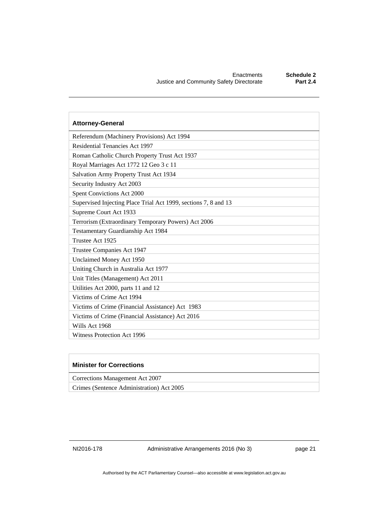| <b>Attorney-General</b>                                         |
|-----------------------------------------------------------------|
| Referendum (Machinery Provisions) Act 1994                      |
| <b>Residential Tenancies Act 1997</b>                           |
| Roman Catholic Church Property Trust Act 1937                   |
| Royal Marriages Act 1772 12 Geo 3 c 11                          |
| Salvation Army Property Trust Act 1934                          |
| Security Industry Act 2003                                      |
| Spent Convictions Act 2000                                      |
| Supervised Injecting Place Trial Act 1999, sections 7, 8 and 13 |
| Supreme Court Act 1933                                          |
| Terrorism (Extraordinary Temporary Powers) Act 2006             |
| Testamentary Guardianship Act 1984                              |
| Trustee Act 1925                                                |
| Trustee Companies Act 1947                                      |
| Unclaimed Money Act 1950                                        |
| Uniting Church in Australia Act 1977                            |
| Unit Titles (Management) Act 2011                               |
| Utilities Act 2000, parts 11 and 12                             |
| Victims of Crime Act 1994                                       |
| Victims of Crime (Financial Assistance) Act 1983                |
| Victims of Crime (Financial Assistance) Act 2016                |
| Wills Act 1968                                                  |
| Witness Protection Act 1996                                     |

#### **Minister for Corrections**

Corrections Management Act 2007

Crimes (Sentence Administration) Act 2005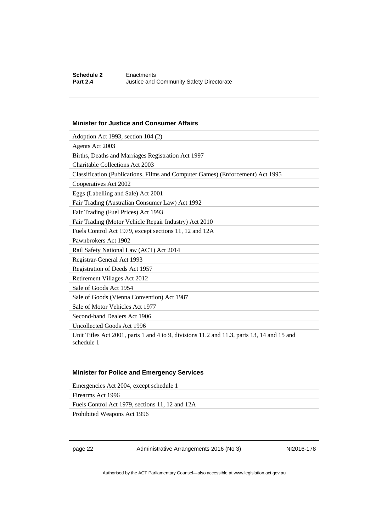#### **Schedule 2** Enactments<br> **Part 2.4** Justice and **Justice and Community Safety Directorate**

#### **Minister for Justice and Consumer Affairs**

Adoption Act 1993, section 104 (2)

Agents Act 2003

Births, Deaths and Marriages Registration Act 1997

Charitable Collections Act 2003

Classification (Publications, Films and Computer Games) (Enforcement) Act 1995

Cooperatives Act 2002

Eggs (Labelling and Sale) Act 2001

Fair Trading (Australian Consumer Law) Act 1992

Fair Trading (Fuel Prices) Act 1993

Fair Trading (Motor Vehicle Repair Industry) Act 2010

Fuels Control Act 1979, except sections 11, 12 and 12A

Pawnbrokers Act 1902

Rail Safety National Law (ACT) Act 2014

Registrar-General Act 1993

Registration of Deeds Act 1957

Retirement Villages Act 2012

Sale of Goods Act 1954

Sale of Goods (Vienna Convention) Act 1987

Sale of Motor Vehicles Act 1977

Second-hand Dealers Act 1906

Uncollected Goods Act 1996

Unit Titles Act 2001, parts 1 and 4 to 9, divisions 11.2 and 11.3, parts 13, 14 and 15 and schedule 1

#### **Minister for Police and Emergency Services**

Emergencies Act 2004, except schedule 1

Firearms Act 1996

Fuels Control Act 1979, sections 11, 12 and 12A

Prohibited Weapons Act 1996

page 22 Administrative Arrangements 2016 (No 3) NI2016-178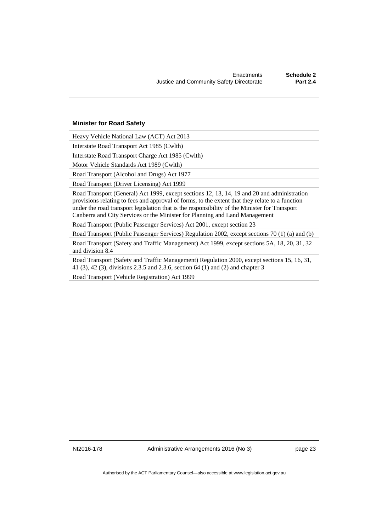#### **Minister for Road Safety**

Heavy Vehicle National Law (ACT) Act 2013

Interstate Road Transport Act 1985 (Cwlth)

Interstate Road Transport Charge Act 1985 (Cwlth)

Motor Vehicle Standards Act 1989 (Cwlth)

Road Transport (Alcohol and Drugs) Act 1977

Road Transport (Driver Licensing) Act 1999

Road Transport (General) Act 1999, except sections 12, 13, 14, 19 and 20 and administration provisions relating to fees and approval of forms, to the extent that they relate to a function under the road transport legislation that is the responsibility of the Minister for Transport Canberra and City Services or the Minister for Planning and Land Management

Road Transport (Public Passenger Services) Act 2001, except section 23

Road Transport (Public Passenger Services) Regulation 2002, except sections 70 (1) (a) and (b)

Road Transport (Safety and Traffic Management) Act 1999, except sections 5A, 18, 20, 31, 32 and division 8.4

Road Transport (Safety and Traffic Management) Regulation 2000, except sections 15, 16, 31, 41 (3), 42 (3), divisions 2.3.5 and 2.3.6, section 64 (1) and (2) and chapter 3

Road Transport (Vehicle Registration) Act 1999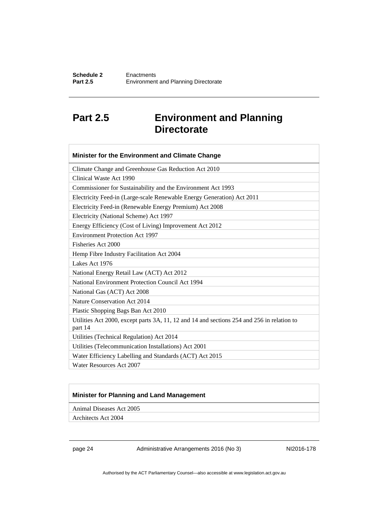### <span id="page-27-0"></span>**Part 2.5 Environment and Planning Directorate**

| Minister for the Environment and Climate Change                                                       |
|-------------------------------------------------------------------------------------------------------|
| Climate Change and Greenhouse Gas Reduction Act 2010                                                  |
| Clinical Waste Act 1990                                                                               |
| Commissioner for Sustainability and the Environment Act 1993                                          |
| Electricity Feed-in (Large-scale Renewable Energy Generation) Act 2011                                |
| Electricity Feed-in (Renewable Energy Premium) Act 2008                                               |
| Electricity (National Scheme) Act 1997                                                                |
| Energy Efficiency (Cost of Living) Improvement Act 2012                                               |
| <b>Environment Protection Act 1997</b>                                                                |
| Fisheries Act 2000                                                                                    |
| Hemp Fibre Industry Facilitation Act 2004                                                             |
| Lakes Act 1976                                                                                        |
| National Energy Retail Law (ACT) Act 2012                                                             |
| National Environment Protection Council Act 1994                                                      |
| National Gas (ACT) Act 2008                                                                           |
| Nature Conservation Act 2014                                                                          |
| Plastic Shopping Bags Ban Act 2010                                                                    |
| Utilities Act 2000, except parts 3A, 11, 12 and 14 and sections 254 and 256 in relation to<br>part 14 |
| Utilities (Technical Regulation) Act 2014                                                             |
| Utilities (Telecommunication Installations) Act 2001                                                  |
| Water Efficiency Labelling and Standards (ACT) Act 2015                                               |
| Water Resources Act 2007                                                                              |

#### **Minister for Planning and Land Management**

Animal Diseases Act 2005

Architects Act 2004

page 24 Administrative Arrangements 2016 (No 3) NI2016-178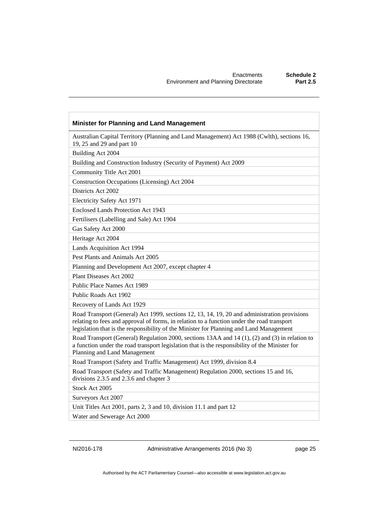| <b>Minister for Planning and Land Management</b>                                                                                                                                                                                                                                      |
|---------------------------------------------------------------------------------------------------------------------------------------------------------------------------------------------------------------------------------------------------------------------------------------|
| Australian Capital Territory (Planning and Land Management) Act 1988 (Cwlth), sections 16,<br>19, 25 and 29 and part 10                                                                                                                                                               |
| Building Act 2004                                                                                                                                                                                                                                                                     |
| Building and Construction Industry (Security of Payment) Act 2009                                                                                                                                                                                                                     |
| Community Title Act 2001                                                                                                                                                                                                                                                              |
| Construction Occupations (Licensing) Act 2004                                                                                                                                                                                                                                         |
| Districts Act 2002                                                                                                                                                                                                                                                                    |
| Electricity Safety Act 1971                                                                                                                                                                                                                                                           |
| <b>Enclosed Lands Protection Act 1943</b>                                                                                                                                                                                                                                             |
| Fertilisers (Labelling and Sale) Act 1904                                                                                                                                                                                                                                             |
| Gas Safety Act 2000                                                                                                                                                                                                                                                                   |
| Heritage Act 2004                                                                                                                                                                                                                                                                     |
| Lands Acquisition Act 1994                                                                                                                                                                                                                                                            |
| Pest Plants and Animals Act 2005                                                                                                                                                                                                                                                      |
| Planning and Development Act 2007, except chapter 4                                                                                                                                                                                                                                   |
| Plant Diseases Act 2002                                                                                                                                                                                                                                                               |
| Public Place Names Act 1989                                                                                                                                                                                                                                                           |
| Public Roads Act 1902                                                                                                                                                                                                                                                                 |
| Recovery of Lands Act 1929                                                                                                                                                                                                                                                            |
| Road Transport (General) Act 1999, sections 12, 13, 14, 19, 20 and administration provisions<br>relating to fees and approval of forms, in relation to a function under the road transport<br>legislation that is the responsibility of the Minister for Planning and Land Management |
| Road Transport (General) Regulation 2000, sections 13AA and 14 (1), (2) and (3) in relation to<br>a function under the road transport legislation that is the responsibility of the Minister for<br>Planning and Land Management                                                      |
| Road Transport (Safety and Traffic Management) Act 1999, division 8.4                                                                                                                                                                                                                 |
| Road Transport (Safety and Traffic Management) Regulation 2000, sections 15 and 16,<br>divisions 2.3.5 and 2.3.6 and chapter 3                                                                                                                                                        |
| Stock Act 2005                                                                                                                                                                                                                                                                        |
| Surveyors Act 2007                                                                                                                                                                                                                                                                    |
| Unit Titles Act 2001, parts 2, 3 and 10, division 11.1 and part 12                                                                                                                                                                                                                    |
| Water and Sewerage Act 2000                                                                                                                                                                                                                                                           |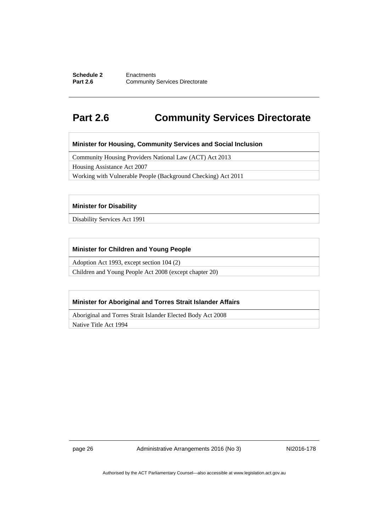#### **Schedule 2 Enactments**<br>**Part 2.6 Community Community Services Directorate**

### <span id="page-29-0"></span>**Part 2.6 Community Services Directorate**

**Minister for Housing, Community Services and Social Inclusion** 

Community Housing Providers National Law (ACT) Act 2013

Housing Assistance Act 2007

Working with Vulnerable People (Background Checking) Act 2011

#### **Minister for Disability**

Disability Services Act 1991

#### **Minister for Children and Young People**

Adoption Act 1993, except section 104 (2)

Children and Young People Act 2008 (except chapter 20)

#### **Minister for Aboriginal and Torres Strait Islander Affairs**

Aboriginal and Torres Strait Islander Elected Body Act 2008

Native Title Act 1994

page 26 Administrative Arrangements 2016 (No 3) NI2016-178